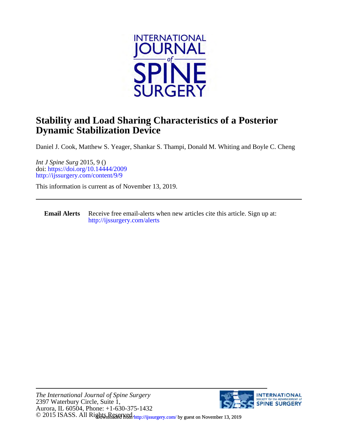

### **Dynamic Stabilization Device Stability and Load Sharing Characteristics of a Posterior**

Daniel J. Cook, Matthew S. Yeager, Shankar S. Thampi, Donald M. Whiting and Boyle C. Cheng

<http://ijssurgery.com/content/9/9> doi:<https://doi.org/10.14444/2009> *Int J Spine Surg* 2015, 9 ()

This information is current as of November 13, 2019.

**Email Alerts** [http://ijssurgery.com/alerts](http://jpm.iijournals.com/alerts) Receive free email-alerts when new articles cite this article. Sign up at:

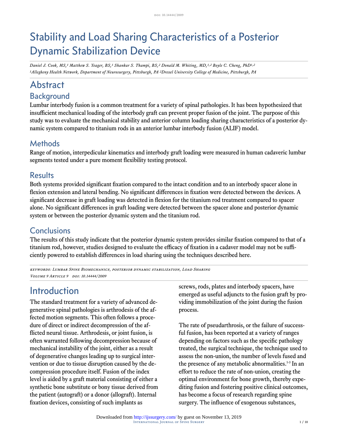# Stability and Load Sharing Characteristics of a Posterior Dynamic Stabilization Device

*Daniel J. Cook, MS,1 Matthew S. Yeager, BS,1 Shankar S. Thampi, BS,2 Donald M. Whiting, MD,1,2 Boyle C. Cheng, PhD1,2 1Allegheny Health Network, Department of Neurosurgery, Pittsburgh, PA 2Drexel University College of Medicine, Pittsburgh, PA*

# Abstract

# Background

Lumbar interbody fusion is a common treatment for a variety of spinal pathologies. It has been hypothesized that insufficient mechanical loading of the interbody graft can prevent proper fusion of the joint. The purpose of this study was to evaluate the mechanical stability and anterior column loading sharing characteristics of a posterior dynamic system compared to titanium rods in an anterior lumbar interbody fusion (ALIF) model.

#### **Methods**

Range of motion, interpedicular kinematics and interbody graft loading were measured in human cadaveric lumbar segments tested under a pure moment flexibility testing protocol.

#### **Results**

Both systems provided significant fixation compared to the intact condition and to an interbody spacer alone in flexion extension and lateral bending. No significant differences in fixation were detected between the devices. A significant decrease in graft loading was detected in flexion for the titanium rod treatment compared to spacer alone. No significant differences in graft loading were detected between the spacer alone and posterior dynamic system or between the posterior dynamic system and the titanium rod.

### **Conclusions**

The results of this study indicate that the posterior dynamic system provides similar fixation compared to that of a titanium rod, however, studies designed to evaluate the efficacy of fixation in a cadaver model may not be sufficiently powered to establish differences in load sharing using the techniques described here.

keywords: Lumbar Spine Biomechanics, posterior dynamic stabilization, Load Sharing VOLUME 9 ARTICLE 9 DOI: 10.14444/2009

### Introduction

The standard treatment for a variety of advanced degenerative spinal pathologies is arthrodesis of the affected motion segments. This often follows a procedure of direct or indirect decompression of the afflicted neural tissue. Arthrodesis, or joint fusion, is often warranted following decompression because of mechanical instability of the joint, either as a result of degenerative changes leading up to surgical intervention or due to tissue disruption caused by the decompression procedure itself. Fusion of the index level is aided by a graft material consisting of either a synthetic bone substitute or bony tissue derived from the patient (autograft) or a donor (allograft). Internal fixation devices, consisting of such implants as

screws, rods, plates and interbody spacers, have emerged as useful adjuncts to the fusion graft by providing immobilization of the joint during the fusion process.

The rate of pseudarthrosis, or the failure of successful fusion, has been reported at a variety of ranges depending on factors such as the specific pathology treated, the surgical technique, the technique used to assess the non-union, the number of levels fused and the presence of any metabolic abnormalities.<sup>1-3</sup> In an effort to reduce the rate of non-union, creating the optimal environment for bone growth, thereby expediting fusion and fostering positive clinical outcomes, has become a focus of research regarding spine surgery. The influence of exogenous substances,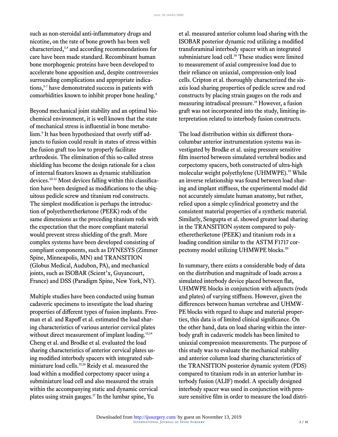such as non-steroidal anti-inflammatory drugs and nicotine, on the rate of bone growth has been well characterized,3,4 and according recommendations for care have been made standard. Recombinant human bone morphogenic proteins have been developed to accelerate bone apposition and, despite controversies surrounding complications and appropriate indications,<sup>5-7</sup> have demonstrated success in patients with comorbidities known to inhibit proper bone healing.<sup>8</sup>

Beyond mechanical joint stability and an optimal biochemical environment, it is well known that the state of mechanical stress is influential in bone metabolism.<sup>9</sup> It has been hypothesized that overly stiff adjuncts to fusion could result in states of stress within the fusion graft too low to properly facilitate arthrodesis. The elimination of this so-called stress shielding has become the design rationale for a class of internal fixators known as dynamic stabilization devices.10-12 Most devices falling within this classification have been designed as modifications to the ubiquitous pedicle screw and titanium rod constructs. The simplest modification is perhaps the introduction of polyetheretherketone (PEEK) rods of the same dimensions as the preceding titanium rods with the expectation that the more compliant material would prevent stress shielding of the graft. More complex systems have been developed consisting of compliant components, such as DYNESYS (Zimmer Spine, Minneapolis, MN) and TRANSITION (Globus Medical, Audubon, PA), and mechanical joints, such as ISOBAR (Scient'x, Guyancourt, France) and DSS (Paradigm Spine, New York, NY).

Multiple studies have been conducted using human cadaveric specimens to investigate the load sharing properties of different types of fusion implants. Freeman et al. and Rapoff et al. estimated the load sharing characteristics of various anterior cervical plates without direct measurement of implant loading.<sup>13,14</sup> Cheng et al. and Brodke et al. evaluated the load sharing characteristics of anterior cervical plates using modified interbody spacers with integrated subminiature load cells.15,16 Reidy et al. measured the load within a modified corpectomy spacer using a subminiature load cell and also measured the strain within the accompanying static and dynamic cervical plates using strain gauges.<sup>17</sup> In the lumbar spine, Yu

et al. measured anterior column load sharing with the ISOBAR posterior dynamic rod utilizing a modified transforaminal interbody spacer with an integrated subminiature load cell.<sup>10</sup> These studies were limited to measurement of axial compressive load due to their reliance on uniaxial, compression-only load cells. Cripton et al. thoroughly characterized the sixaxis load sharing properties of pedicle screw and rod constructs by placing strain gauges on the rods and measuring intradiscal pressure.<sup>18</sup> However, a fusion graft was not incorporated into the study, limiting interpretation related to interbody fusion constructs.

The load distribution within six different thoracolumbar anterior instrumentation systems was investigated by Brodke et al. using pressure sensitive film inserted between simulated vertebral bodies and corpectomy spacers, both constructed of ultra-high molecular weight polyethylene (UHMWPE).<sup>19</sup> While an inverse relationship was found between load sharing and implant stiffness, the experimental model did not accurately simulate human anatomy, but rather, relied upon a simple cylindrical geometry and the consistent material properties of a synthetic material. Similarly, Sengupta et al. showed greater load sharing in the TRANSITION system compared to polyetheretherketone (PEEK) and titanium rods in a loading condition similar to the ASTM F1717 corpectomy model utilizing UHMWPE blocks.<sup>20</sup>

In summary, there exists a considerable body of data on the distribution and magnitude of loads across a simulated interbody device placed between flat, UHMWPE blocks in conjunction with adjuncts (rods and plates) of varying stiffness. However, given the differences between human vertebrae and UHMW-PE blocks with regard to shape and material properties, this data is of limited clinical significance. On the other hand, data on load sharing within the interbody graft in cadaveric models has been limited to uniaxial compression measurements. The purpose of this study was to evaluate the mechanical stability and anterior column load sharing characteristics of the TRANSITION posterior dynamic system (PDS) compared to titanium rods in an anterior lumbar interbody fusion (ALIF) model. A specially designed interbody spacer was used in conjunction with pressure sensitive film in order to measure the load distri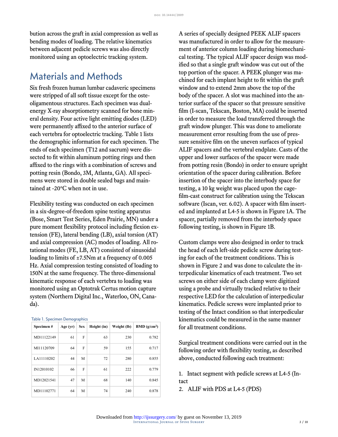bution across the graft in axial compression as well as bending modes of loading. The relative kinematics between adjacent pedicle screws was also directly monitored using an optoelectric tracking system.

#### Materials and Methods

Six fresh frozen human lumbar cadaveric specimens were stripped of all soft tissue except for the osteoligamentous structures. Each specimen was dualenergy X-ray absorptiometry scanned for bone mineral density. Four active light emitting diodes (LED) were permanently affixed to the anterior surface of each vertebra for optoelectric tracking. Table 1 lists the demographic information for each specimen. The ends of each specimen (T12 and sacrum) were dissected to fit within aluminum potting rings and then affixed to the rings with a combination of screws and potting resin (Bondo, 3M, Atlanta, GA). All specimens were stored in double sealed bags and maintained at -20°C when not in use.

Flexibility testing was conducted on each specimen in a six-degree-of-freedom spine testing apparatus (Bose, Smart Test Series, Eden Prairie, MN) under a pure moment flexibility protocol including flexion extension (FE), lateral bending (LB), axial torsion (AT) and axial compression (AC) modes of loading. All rotational modes (FE, LB, AT) consisted of sinusoidal loading to limits of ±7.5Nm at a frequency of 0.005 Hz. Axial compression testing consisted of loading to 150N at the same frequency. The three-dimensional kinematic response of each vertebra to loading was monitored using an Optotrak Certus motion capture system (Northern Digital Inc., Waterloo, ON, Canada).

| Specimen#  | Age (yr) | <b>Sex</b> | Height (in) | Weight (lb) | $BMD$ (g/cm <sup>2</sup> ) |
|------------|----------|------------|-------------|-------------|----------------------------|
| MD11122149 | 61       | F          | 63          | 230         | 0.782                      |
| MI11120709 | 64       | F          | 59          | 155         | 0.717                      |
| LA11110202 | 44       | M          | 72          | 280         | 0.855                      |
| IN12010102 | 66       | F          | 61          | 222         | 0.779                      |
| MD12021541 | 47       | М          | 68          | 140         | 0.845                      |
| MD11102771 | 64       | М          | 74          | 240         | 0.878                      |

A series of specially designed PEEK ALIF spacers was manufactured in order to allow for the measurement of anterior column loading during biomechanical testing. The typical ALIF spacer design was modified so that a single graft window was cut out of the top portion of the spacer. A PEEK plunger was machined for each implant height to fit within the graft window and to extend 2mm above the top of the body of the spacer. A slot was machined into the anterior surface of the spacer so that pressure sensitive film (I-scan, Tekscan, Boston, MA) could be inserted in order to measure the load transferred through the graft window plunger. This was done to ameliorate measurement error resulting from the use of pressure sensitive film on the uneven surfaces of typical ALIF spacers and the vertebral endplate. Casts of the upper and lower surfaces of the spacer were made from potting resin (Bondo) in order to ensure upright orientation of the spacer during calibration. Before insertion of the spacer into the interbody space for testing, a 10 kg weight was placed upon the cagefilm-cast construct for calibration using the Tekscan software (Iscan, ver. 6.02). A spacer with film inserted and implanted at L4-5 is shown in [Figure 1](#page-4-0)A. The spacer, partially removed from the interbody space following testing, is shown in [Figure 1](#page-4-0)B.

Custom clamps were also designed in order to track the head of each left-side pedicle screw during testing for each of the treatment conditions. This is shown in [Figure 2](#page-4-1) and was done to calculate the interpedicular kinematics of each treatment. Two set screws on either side of each clamp were digitized using a probe and virtually tracked relative to their respective LED for the calculation of interpedicular kinematics. Pedicle screws were implanted prior to testing of the Intact condition so that interpedicular kinematics could be measured in the same manner for all treatment conditions.

Surgical treatment conditions were carried out in the following order with flexibility testing, as described above, conducted following each treatment:

1. Intact segment with pedicle screws at L4-5 (Intact

2. ALIF with PDS at L4-5 (PDS)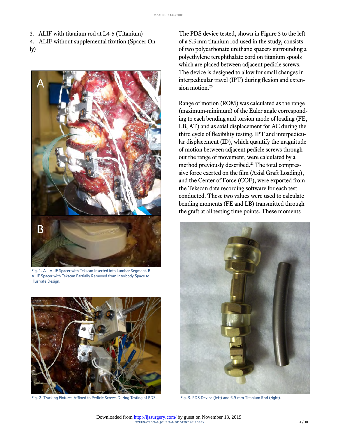3. ALIF with titanium rod at L4-5 (Titanium)

- 4. ALIF without supplemental fixation (Spacer On-
- ly)



Fig. 1. A - ALIF Spacer with Tekscan Inserted into Lumbar Segment. B - ALIF Spacer with Tekscan Partially Removed from Interbody Space to Illustrate Design.

<span id="page-4-1"></span><span id="page-4-0"></span>

Fig. 2. Tracking Fixtures Affixed to Pedicle Screws During Testing of PDS. Fig. 3. PDS Device (left) and 5.5 mm Titanium Rod (right).

The PDS device tested, shown in [Figure 3](#page-4-1) to the left of a 5.5 mm titanium rod used in the study, consists of two polycarbonate urethane spacers surrounding a polyethylene terephthalate cord on titanium spools which are placed between adjacent pedicle screws. The device is designed to allow for small changes in interpedicular travel (IPT) during flexion and extension motion.<sup>20</sup>

Range of motion (ROM) was calculated as the range (maximum-minimum) of the Euler angle corresponding to each bending and torsion mode of loading (FE, LB, AT) and as axial displacement for AC during the third cycle of flexibility testing. IPT and interpedicular displacement (ID), which quantify the magnitude of motion between adjacent pedicle screws throughout the range of movement, were calculated by a method previously described.<sup>21</sup> The total compressive force exerted on the film (Axial Graft Loading), and the Center of Force (COF), were exported from the Tekscan data recording software for each test conducted. These two values were used to calculate bending moments (FE and LB) transmitted through the graft at all testing time points. These moments

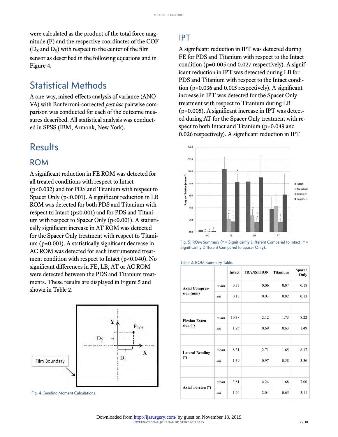were calculated as the product of the total force magnitude (F) and the respective coordinates of the COF  $(D_x$  and  $D_y$ ) with respect to the center of the film sensor as described in the following equations and in [Figure 4.](#page-5-0)

### Statistical Methods

A one-way, mixed-effects analysis of variance (ANO-VA) with Bonferroni-corrected *post hoc* pairwise comparison was conducted for each of the outcome measures described. All statistical analysis was conducted in SPSS (IBM, Armonk, New York).

#### Results

#### ROM

<span id="page-5-1"></span>A significant reduction in FE ROM was detected for all treated conditions with respect to Intact (p≤0.032) and for PDS and Titanium with respect to Spacer Only (p<0.001). A significant reduction in LB ROM was detected for both PDS and Titanium with respect to Intact (p≤0.001) and for PDS and Titanium with respect to Spacer Only  $(p<0.001)$ . A statistically significant increase in AT ROM was detected for the Spacer Only treatment with respect to Titanium (p=0.001). A statistically significant decrease in AC ROM was detected for each instrumented treatment condition with respect to Intact (p<0.040). No significant differences in FE, LB, AT or AC ROM were detected between the PDS and Titanium treatments. These results are displayed in [Figure 5](#page-5-1) and shown in Table 2.



<span id="page-5-0"></span>Fig. 4. Bending Moment Calculations.

#### IPT

A significant reduction in IPT was detected during FE for PDS and Titanium with respect to the Intact condition ( $p=0.005$  and 0.027 respectively). A significant reduction in IPT was detected during LB for PDS and Titanium with respect to the Intact condition (p=0.036 and 0.015 respectively). A significant increase in IPT was detected for the Spacer Only treatment with respect to Titanium during LB (p=0.005). A significant increase in IPT was detected during AT for the Spacer Only treatment with respect to both Intact and Titanium (p=0.049 and 0.026 respectively). A significant reduction in IPT



Fig. 5. ROM Summary ( $*$  = Significantly Different Compared to Intact;  $\dagger$  = Significantly Different Compared to Spacer Only).

|                               |      | Intact | <b>TRANSITION</b> | <b>Titanium</b> | <b>Spacer</b><br>Only |
|-------------------------------|------|--------|-------------------|-----------------|-----------------------|
| <b>Axial Compres-</b>         | mean | 0.35   | 0.06              | 0.07            | 0.18                  |
| sion (mm)                     | std  | 0.13   | 0.03              | 0.02            | 0.13                  |
|                               |      |        |                   |                 |                       |
| <b>Flexion Exten-</b>         | mean | 10.38  | 2.12              | 1.73            | 8.22                  |
| sion $(°)$                    | std  | 1.95   | 0.69              | 0.63            | 1.49                  |
|                               |      |        |                   |                 |                       |
| <b>Lateral Bending</b><br>(°) | mean | 8.31   | 2.71              | 1.65            | 8.17                  |
|                               | std  | 1.39   | 0.97              | 0.58            | 3.36                  |
|                               |      |        |                   |                 |                       |
| Axial Torsion (°)             | mean | 3.81   | 4.24              | 1.68            | 7.00                  |
|                               | std  | 1.94   | 2.04              | 0.65            | 3.11                  |

#### Table 2. ROM Summary Table.

International Journal of Spine Surgery 5 / 10 Downloaded from<http://ijssurgery.com/>by guest on November 13, 2019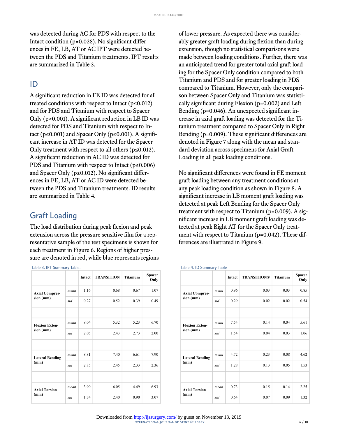was detected during AC for PDS with respect to the Intact condition (p=0.028). No significant differences in FE, LB, AT or AC IPT were detected between the PDS and Titanium treatments. IPT results are summarized in Table 3.

#### ID

A significant reduction in FE ID was detected for all treated conditions with respect to Intact ( $p \le 0.012$ ) and for PDS and Titanium with respect to Spacer Only (p<0.001). A significant reduction in LB ID was detected for PDS and Titanium with respect to Intact ( $p \le 0.001$ ) and Spacer Only ( $p \le 0.001$ ). A significant increase in AT ID was detected for the Spacer Only treatment with respect to all others ( $p \le 0.012$ ). A significant reduction in AC ID was detected for PDS and Titanium with respect to Intact ( $p \le 0.006$ ) and Spacer Only (p≤0.012). No significant differences in FE, LB, AT or AC ID were detected between the PDS and Titanium treatments. ID results are summarized in Table 4.

#### Graft Loading

The load distribution during peak flexion and peak extension across the pressure sensitive film for a representative sample of the test specimens is shown for each treatment in [Figure 6.](#page-7-0) Regions of higher pressure are denoted in red, while blue represents regions

Table 3. IPT Summary Table.

|                        |      | Intact | <b>TRANSITION</b> | <b>Titanium</b> | <b>Spacer</b><br>Only |
|------------------------|------|--------|-------------------|-----------------|-----------------------|
| <b>Axial Compres-</b>  | mean | 1.16   | 0.68              | 0.67            | 1.07                  |
| sion (mm)              | std  | 0.27   | 0.52              | 0.39            | 0.49                  |
|                        |      |        |                   |                 |                       |
| <b>Flexion Exten-</b>  | mean | 8.04   | 5.32              | 5.23            | 6.70                  |
| sion (mm)              | std  | 2.05   | 2.43              | 2.73            | 2.00                  |
|                        |      |        |                   |                 |                       |
| <b>Lateral Bending</b> | mean | 8.81   | 7.40              | 6.61            | 7.90                  |
| (mm)                   | std  | 2.85   | 2.45              | 2.33            | 2.36                  |
|                        |      |        |                   |                 |                       |
| <b>Axial Torsion</b>   | mean | 3.90   | 6.05              | 4.49            | 6.93                  |
| (mm)                   | std  | 1.74   | 2.40              | 0.90            | 3.07                  |

of lower pressure. As expected there was considerably greater graft loading during flexion than during extension, though no statistical comparisons were made between loading conditions. Further, there was an anticipated trend for greater total axial graft loading for the Spacer Only condition compared to both Titanium and PDS and for greater loading in PDS compared to Titanium. However, only the comparison between Spacer Only and Titanium was statistically significant during Flexion (p=0.002) and Left Bending (p=0.046). An unexpected significant increase in axial graft loading was detected for the Titanium treatment compared to Spacer Only in Right Bending (p=0.009). These significant differences are denoted in [Figure 7](#page-7-1) along with the mean and standard deviation across specimens for Axial Graft Loading in all peak loading conditions.

No significant differences were found in FE moment graft loading between any treatment conditions at any peak loading condition as shown in [Figure 8](#page-7-2). A significant increase in LB moment graft loading was detected at peak Left Bending for the Spacer Only treatment with respect to Titanium (p=0.009). A significant increase in LB moment graft loading was detected at peak Right AT for the Spacer Only treatment with respect to Titanium (p=0.042). These differences are illustrated in [Figure 9](#page-7-3).

#### Table 4. ID Summary Table

|                                    |      | Intact | <b>TRANSITION®</b> | <b>Titanium</b> | Spacer<br>Only |
|------------------------------------|------|--------|--------------------|-----------------|----------------|
| <b>Axial Compres-</b>              | mean | 0.96   | 0.03               | 0.03            | 0.85           |
| sion (mm)                          | std  | 0.29   | 0.02               | 0.02            | 0.54           |
|                                    |      |        |                    |                 |                |
| <b>Flexion Exten-</b><br>sion (mm) | mean | 7.54   | 0.14               | 0.04            | 5.61           |
|                                    | std  | 1.54   | 0.04               | 0.03            | 1.06           |
|                                    |      |        |                    |                 |                |
| <b>Lateral Bending</b><br>(mm)     | mean | 4.72   | 0.23               | 0.08            | 4.62           |
|                                    | std  | 1.28   | 0.13               | 0.05            | 1.53           |
|                                    |      |        |                    |                 |                |
| <b>Axial Torsion</b><br>(mm)       | mean | 0.73   | 0.15               | 0.14            | 2.25           |
|                                    | std  | 0.64   | 0.07               | 0.09            | 1.32           |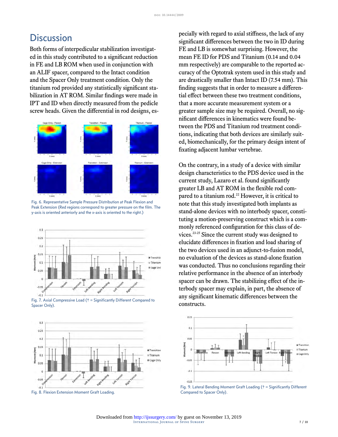### **Discussion**

Both forms of interpedicular stabilization investigated in this study contributed to a significant reduction in FE and LB ROM when used in conjunction with an ALIF spacer, compared to the Intact condition and the Spacer Only treatment condition. Only the titanium rod provided any statistically significant stabilization in AT ROM. Similar findings were made in IPT and ID when directly measured from the pedicle screw heads. Given the differential in rod designs, es-



<span id="page-7-0"></span>Fig. 6. Representative Sample Pressure Distribution at Peak Flexion and Peak Extension (Red regions correspond to greater pressure on the film. The y-axis is oriented anteriorly and the x-axis is oriented to the right.)



<span id="page-7-1"></span>Fig. 7. Axial Compressive Load († = Significantly Different Compared to Spacer Only).



<span id="page-7-3"></span><span id="page-7-2"></span>Fig. 8. Flexion Extension Moment Graft Loading.

pecially with regard to axial stiffness, the lack of any significant differences between the two in ID during FE and LB is somewhat surprising. However, the mean FE ID for PDS and Titanium (0.14 and 0.04 mm respectively) are comparable to the reported accuracy of the Optotrak system used in this study and are drastically smaller than Intact ID (7.54 mm). This finding suggests that in order to measure a differential effect between these two treatment conditions, that a more accurate measurement system or a greater sample size may be required. Overall, no significant differences in kinematics were found between the PDS and Titanium rod treatment conditions, indicating that both devices are similarly suited, biomechanically, for the primary design intent of fixating adjacent lumbar vertebrae.

On the contrary, in a study of a device with similar design characteristics to the PDS device used in the current study, Lazaro et al. found significantly greater LB and AT ROM in the flexible rod compared to a titanium rod.<sup>22</sup> However, it is critical to note that this study investigated both implants as stand-alone devices with no interbody spacer, constituting a motion-preserving construct which is a commonly referenced configuration for this class of devices.23-25 Since the current study was designed to elucidate differences in fixation and load sharing of the two devices used in an adjunct-to-fusion model, no evaluation of the devices as stand-alone fixation was conducted. Thus no conclusions regarding their relative performance in the absence of an interbody spacer can be drawn. The stabilizing effect of the interbody spacer may explain, in part, the absence of any significant kinematic differences between the constructs.



Fig. 9. Lateral Bending Moment Graft Loading († = Significantly Different Compared to Spacer Only).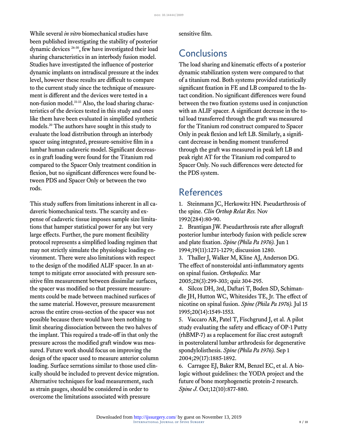While several *in vitro* biomechanical studies have been published investigating the stability of posterior dynamic devices 26-30, few have investigated their load sharing characteristics in an interbody fusion model. Studies have investigated the influence of posterior dynamic implants on intradiscal pressure at the index level, however these results are difficult to compare to the current study since the technique of measurement is different and the devices were tested in a non-fusion model.<sup>31-33</sup> Also, the load sharing characteristics of the devices tested in this study and ones like them have been evaluated in simplified synthetic models.<sup>20</sup> The authors have sought in this study to evaluate the load distribution through an interbody spacer using integrated, pressure-sensitive film in a lumbar human cadaveric model. Significant decreases in graft loading were found for the Titanium rod compared to the Spacer Only treatment condition in flexion, but no significant differences were found between PDS and Spacer Only or between the two rods.

This study suffers from limitations inherent in all cadaveric biomechanical tests. The scarcity and expense of cadaveric tissue imposes sample size limitations that hamper statistical power for any but very large effects. Further, the pure moment flexibility protocol represents a simplified loading regimen that may not strictly simulate the physiologic loading environment. There were also limitations with respect to the design of the modified ALIF spacer. In an attempt to mitigate error associated with pressure sensitive film measurement between dissimilar surfaces, the spacer was modified so that pressure measurements could be made between machined surfaces of the same material. However, pressure measurement across the entire cross-section of the spacer was not possible because there would have been nothing to limit shearing dissociation between the two halves of the implant. This required a trade-off in that only the pressure across the modified graft window was measured. Future work should focus on improving the design of the spacer used to measure anterior column loading. Surface serrations similar to those used clinically should be included to prevent device migration. Alternative techniques for load measurement, such as strain gauges, should be considered in order to overcome the limitations associated with pressure

sensitive film.

### **Conclusions**

The load sharing and kinematic effects of a posterior dynamic stabilization system were compared to that of a titanium rod. Both systems provided statistically significant fixation in FE and LB compared to the Intact condition. No significant differences were found between the two fixation systems used in conjunction with an ALIF spacer. A significant decrease in the total load transferred through the graft was measured for the Titanium rod construct compared to Spacer Only in peak flexion and left LB. Similarly, a significant decrease in bending moment transferred through the graft was measured in peak left LB and peak right AT for the Titanium rod compared to Spacer Only. No such differences were detected for the PDS system.

### References

1. Steinmann JC, Herkowitz HN. Pseudarthrosis of the spine. *Clin Orthop Relat Res.* Nov 1992(284):80-90.

2. [Brantigan JW. Pseudarthrosis rate after allograft](http://dx.doi.org/10.1097/00007632-199405310-00014) [posterior lumbar interbody fusion with pedicle screw](http://dx.doi.org/10.1097/00007632-199405310-00014) and plate fixation. *[Spine \(Phila Pa 1976\).](http://dx.doi.org/10.1097/00007632-199405310-00014)* Jun 1 [1994;19\(11\):1271-1279; discussion 1280.](http://dx.doi.org/10.1097/00007632-199405310-00014)

3. Thaller J, Walker M, Kline AJ, Anderson DG. The effect of nonsteroidal anti-inflammatory agents on spinal fusion. *Orthopedics.* Mar 2005;28(3):299-303; quiz 304-295.

4. [Silcox DH, 3rd, Daftari T, Boden SD, Schiman](http://dx.doi.org/10.1097/00007632-199507150-00001)[dle JH, Hutton WC, Whitesides TE, Jr. The effect of](http://dx.doi.org/10.1097/00007632-199507150-00001) [nicotine on spinal fusion.](http://dx.doi.org/10.1097/00007632-199507150-00001) *Spine (Phila Pa 1976).* Jul 15 [1995;20\(14\):1549-1553.](http://dx.doi.org/10.1097/00007632-199507150-00001)

5. [Vaccaro AR, Patel T, Fischgrund J, et al. A pilot](http://dx.doi.org/10.1097/01.brs.0000137062.79201.98) [study evaluating the safety and efficacy of OP-1 Putty](http://dx.doi.org/10.1097/01.brs.0000137062.79201.98) [\(rhBMP-7\) as a replacement for iliac crest autograft](http://dx.doi.org/10.1097/01.brs.0000137062.79201.98) [in posterolateral lumbar arthrodesis for degenerative](http://dx.doi.org/10.1097/01.brs.0000137062.79201.98) spondylolisthesis. *[Spine \(Phila Pa 1976\).](http://dx.doi.org/10.1097/01.brs.0000137062.79201.98)* Sep 1 [2004;29\(17\):1885-1892.](http://dx.doi.org/10.1097/01.brs.0000137062.79201.98)

6. [Carragee EJ, Baker RM, Benzel EC, et al. A bio](http://dx.doi.org/10.1016/j.spinee.2012.11.002)[logic without guidelines: the YODA project and the](http://dx.doi.org/10.1016/j.spinee.2012.11.002) [future of bone morphogenetic protein-2 research.](http://dx.doi.org/10.1016/j.spinee.2012.11.002) *Spine J.* [Oct;12\(10\):877-880.](http://dx.doi.org/10.1016/j.spinee.2012.11.002)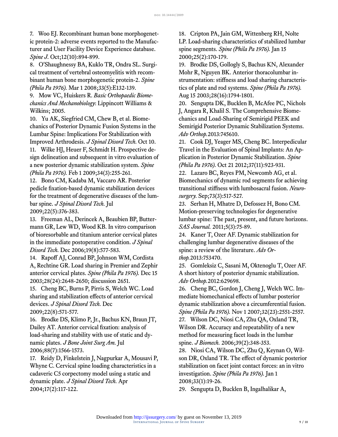7. [Woo EJ. Recombinant human bone morphogenet](http://dx.doi.org/10.1016/j.spinee.2012.09.052)[ic protein-2: adverse events reported to the Manufac](http://dx.doi.org/10.1016/j.spinee.2012.09.052)[turer and User Facility Device Experience database.](http://dx.doi.org/10.1016/j.spinee.2012.09.052) *Spine J.* [Oct;12\(10\):894-899.](http://dx.doi.org/10.1016/j.spinee.2012.09.052)

8. [O'Shaughnessy BA, Kuklo TR, Ondra SL. Surgi](http://dx.doi.org/10.1097/brs.0b013e3181657ee3)[cal treatment of vertebral osteomyelitis with recom](http://dx.doi.org/10.1097/brs.0b013e3181657ee3)[binant human bone morphogenetic protein-2.](http://dx.doi.org/10.1097/brs.0b013e3181657ee3) *Spine (Phila Pa 1976).* [Mar 1 2008;33\(5\):E132-139.](http://dx.doi.org/10.1097/brs.0b013e3181657ee3)

9. Mow VC, Huiskers R. *Basic Orthopaedic Biomechanics And Mechanobiology*: Lippincott Williams & Wilkins; 2005.

10. Yu AK, Siegfried CM, Chew B, et al. Biomechanics of Posterior Dynamic Fusion Systems in the Lumbar Spine: Implications For Stabilization with Improved Arthrodesis. *J Spinal Disord Tech.* Oct 10. 11. [Wilke HJ, Heuer F, Schmidt H. Prospective de](http://dx.doi.org/10.1097/brs.0b013e3181920e9c)[sign delineation and subsequent in vitro evaluation of](http://dx.doi.org/10.1097/brs.0b013e3181920e9c) [a new posterior dynamic stabilization system.](http://dx.doi.org/10.1097/brs.0b013e3181920e9c) *Spine (Phila Pa 1976).* [Feb 1 2009;34\(3\):255-261.](http://dx.doi.org/10.1097/brs.0b013e3181920e9c)

12. [Bono CM, Kadaba M, Vaccaro AR. Posterior](http://dx.doi.org/10.1097/bsd.0b013e31817c6489) [pedicle fixation-based dynamic stabilization devices](http://dx.doi.org/10.1097/bsd.0b013e31817c6489) [for the treatment of degenerative diseases of the lum](http://dx.doi.org/10.1097/bsd.0b013e31817c6489)bar spine. *[J Spinal Disord Tech.](http://dx.doi.org/10.1097/bsd.0b013e31817c6489)* Jul [2009;22\(5\):376-383.](http://dx.doi.org/10.1097/bsd.0b013e31817c6489)

13. [Freeman AL, Derincek A, Beaubien BP, Butter](http://dx.doi.org/10.1097/01.bsd.0000211228.81930.c9)[mann GR, Lew WD, Wood KB. In vitro comparison](http://dx.doi.org/10.1097/01.bsd.0000211228.81930.c9) [of bioresorbable and titanium anterior cervical plates](http://dx.doi.org/10.1097/01.bsd.0000211228.81930.c9) [in the immediate postoperative condition.](http://dx.doi.org/10.1097/01.bsd.0000211228.81930.c9) *J Spinal Disord Tech.* [Dec 2006;19\(8\):577-583.](http://dx.doi.org/10.1097/01.bsd.0000211228.81930.c9)

14. [Rapoff AJ, Conrad BP, Johnson WM, Cordista](http://dx.doi.org/10.1097/01.brs.0000099387.37393.3f) [A, Rechtine GR. Load sharing in Premier and Zephir](http://dx.doi.org/10.1097/01.brs.0000099387.37393.3f) [anterior cervical plates.](http://dx.doi.org/10.1097/01.brs.0000099387.37393.3f) *Spine (Phila Pa 1976).* Dec 15 [2003;28\(24\):2648-2650; discussion 2651.](http://dx.doi.org/10.1097/01.brs.0000099387.37393.3f)

15. [Cheng BC, Burns P, Pirris S, Welch WC. Load](http://dx.doi.org/10.1097/bsd.0b013e31818eee78) [sharing and stabilization effects of anterior cervical](http://dx.doi.org/10.1097/bsd.0b013e31818eee78) devices. *[J Spinal Disord Tech.](http://dx.doi.org/10.1097/bsd.0b013e31818eee78)* Dec [2009;22\(8\):571-577.](http://dx.doi.org/10.1097/bsd.0b013e31818eee78)

16. [Brodke DS, Klimo P, Jr., Bachus KN, Braun JT,](http://dx.doi.org/10.2106/jbjs.e.00305) [Dailey AT. Anterior cervical fixation: analysis of](http://dx.doi.org/10.2106/jbjs.e.00305) [load-sharing and stability with use of static and dy](http://dx.doi.org/10.2106/jbjs.e.00305)namic plates. *[J Bone Joint Surg Am.](http://dx.doi.org/10.2106/jbjs.e.00305)* Jul [2006;88\(7\):1566-1573.](http://dx.doi.org/10.2106/jbjs.e.00305)

17. [Reidy D, Finkelstein J, Nagpurkar A, Mousavi P,](http://dx.doi.org/10.1097/00024720-200404000-00008) [Whyne C. Cervical spine loading characteristics in a](http://dx.doi.org/10.1097/00024720-200404000-00008) [cadaveric C5 corpectomy model using a static and](http://dx.doi.org/10.1097/00024720-200404000-00008) dynamic plate. *[J Spinal Disord Tech.](http://dx.doi.org/10.1097/00024720-200404000-00008)* Apr [2004;17\(2\):117-122.](http://dx.doi.org/10.1097/00024720-200404000-00008)

18. [Cripton PA, Jain GM, Wittenberg RH, Nolte](http://dx.doi.org/10.1097/00007632-200001150-00006) [LP. Load-sharing characteristics of stabilized lumbar](http://dx.doi.org/10.1097/00007632-200001150-00006) spine segments. *[Spine \(Phila Pa 1976\).](http://dx.doi.org/10.1097/00007632-200001150-00006)* Jan 15 [2000;25\(2\):170-179.](http://dx.doi.org/10.1097/00007632-200001150-00006)

19. [Brodke DS, Gollogly S, Bachus KN, Alexander](http://dx.doi.org/10.1097/01.brs.0000083201.55495.0e) [Mohr R, Nguyen BK. Anterior thoracolumbar in](http://dx.doi.org/10.1097/01.brs.0000083201.55495.0e)[strumentation: stiffness and load sharing characteris](http://dx.doi.org/10.1097/01.brs.0000083201.55495.0e)[tics of plate and rod systems.](http://dx.doi.org/10.1097/01.brs.0000083201.55495.0e) *Spine (Phila Pa 1976).* [Aug 15 2003;28\(16\):1794-1801.](http://dx.doi.org/10.1097/01.brs.0000083201.55495.0e)

20. [Sengupta DK, Bucklen B, McAfee PC, Nichols](http://dx.doi.org/10.1155/2013/745610) [J, Angara R, Khalil S. The Comprehensive Biome](http://dx.doi.org/10.1155/2013/745610)[chanics and Load-Sharing of Semirigid PEEK and](http://dx.doi.org/10.1155/2013/745610) [Semirigid Posterior Dynamic Stabilization Systems.](http://dx.doi.org/10.1155/2013/745610) *Adv Orthop.*[2013:745610.](http://dx.doi.org/10.1155/2013/745610)

21. [Cook DJ, Yeager MS, Cheng BC. Interpedicular](http://dx.doi.org/10.1097/brs.0b013e31823a3b56) [Travel in the Evaluation of Spinal Implants: An Ap](http://dx.doi.org/10.1097/brs.0b013e31823a3b56)[plication in Posterior Dynamic Stabilization.](http://dx.doi.org/10.1097/brs.0b013e31823a3b56) *Spine (Phila Pa 1976).* [Oct 21 2012;37\(11\):923-931.](http://dx.doi.org/10.1097/brs.0b013e31823a3b56)

22. [Lazaro BC, Reyes PM, Newcomb AG, et al.](http://dx.doi.org/10.1227/neu.0000000000000009) [Biomechanics of dynamic rod segments for achieving](http://dx.doi.org/10.1227/neu.0000000000000009) [transitional stiffness with lumbosacral fusion.](http://dx.doi.org/10.1227/neu.0000000000000009) *Neurosurgery.* [Sep;73\(3\):517-527.](http://dx.doi.org/10.1227/neu.0000000000000009)

23. [Serhan H, Mhatre D, Defossez H, Bono CM.](http://dx.doi.org/10.1016/j.esas.2011.05.001) [Motion-preserving technologies for degenerative](http://dx.doi.org/10.1016/j.esas.2011.05.001) [lumbar spine: The past, present, and future horizons.](http://dx.doi.org/10.1016/j.esas.2011.05.001) *SAS Journal.* [2011;5\(3\):75-89.](http://dx.doi.org/10.1016/j.esas.2011.05.001)

24. [Kaner T, Ozer AF. Dynamic stabilization for](http://dx.doi.org/10.1155/2013/753470) [challenging lumbar degenerative diseases of the](http://dx.doi.org/10.1155/2013/753470) [spine: a review of the literature.](http://dx.doi.org/10.1155/2013/753470) *Adv Orthop.*[2013:753470.](http://dx.doi.org/10.1155/2013/753470)

25. [Gomleksiz C, Sasani M, Oktenoglu T, Ozer AF.](http://dx.doi.org/10.1155/2012/629698) [A short history of posterior dynamic stabilization.](http://dx.doi.org/10.1155/2012/629698) *Adv Orthop.*[2012:629698.](http://dx.doi.org/10.1155/2012/629698)

26. [Cheng BC, Gordon J, Cheng J, Welch WC. Im](http://dx.doi.org/10.1097/brs.0b013e318158cdbe)[mediate biomechanical effects of lumbar posterior](http://dx.doi.org/10.1097/brs.0b013e318158cdbe) [dynamic stabilization above a circumferential fusion.](http://dx.doi.org/10.1097/brs.0b013e318158cdbe) *Spine (Phila Pa 1976).* [Nov 1 2007;32\(23\):2551-2557.](http://dx.doi.org/10.1097/brs.0b013e318158cdbe)

27. [Wilson DC, Niosi CA, Zhu QA, Oxland TR,](http://dx.doi.org/10.1016/j.jbiomech.2004.12.011) [Wilson DR. Accuracy and repeatability of a new](http://dx.doi.org/10.1016/j.jbiomech.2004.12.011) [method for measuring facet loads in the lumbar](http://dx.doi.org/10.1016/j.jbiomech.2004.12.011) spine. *J Biomech.* [2006;39\(2\):348-353.](http://dx.doi.org/10.1016/j.jbiomech.2004.12.011)

28. [Niosi CA, Wilson DC, Zhu Q, Keynan O, Wil](http://dx.doi.org/10.1097/brs.0b013e31815e7f76)[son DR, Oxland TR. The effect of dynamic posterior](http://dx.doi.org/10.1097/brs.0b013e31815e7f76) [stabilization on facet joint contact forces: an in vitro](http://dx.doi.org/10.1097/brs.0b013e31815e7f76) investigation. *[Spine \(Phila Pa 1976\).](http://dx.doi.org/10.1097/brs.0b013e31815e7f76)* Jan 1 [2008;33\(1\):19-26.](http://dx.doi.org/10.1097/brs.0b013e31815e7f76)

29. [Sengupta D, Bucklen B, Ingalhalikar A,](http://dx.doi.org/10.1155/2013/738252)